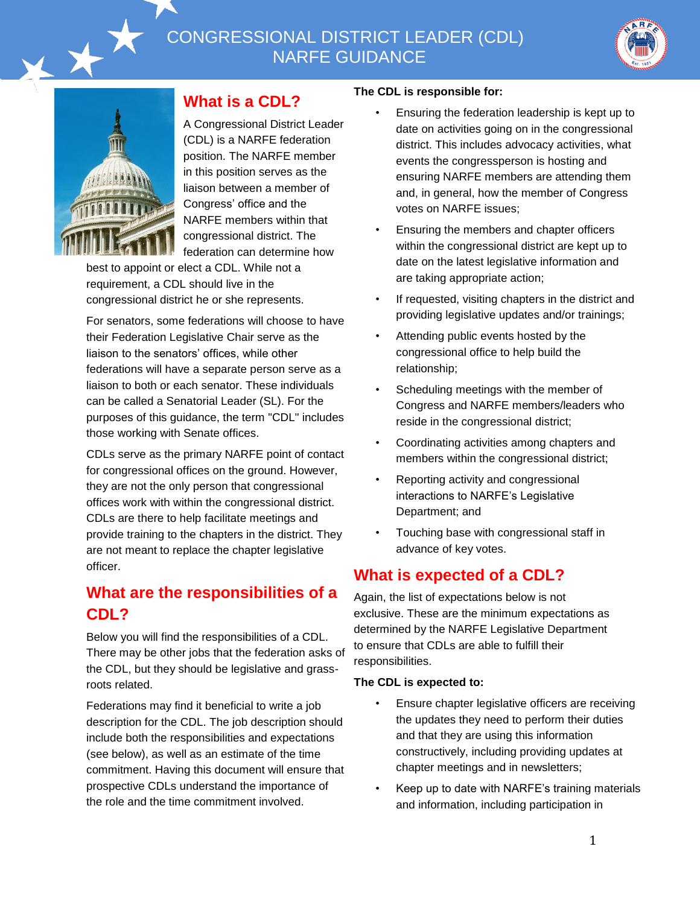# CONGRESSIONAL DISTRICT LEADER (CDL) NARFE GUIDANCE





#### **What is a CDL?**

A Congressional District Leader (CDL) is a NARFE federation position. The NARFE member in this position serves as the liaison between a member of Congress' office and the NARFE members within that congressional district. The federation can determine how

best to appoint or elect a CDL. While not a requirement, a CDL should live in the congressional district he or she represents.

For senators, some federations will choose to have their Federation Legislative Chair serve as the liaison to the senators' offices, while other federations will have a separate person serve as a liaison to both or each senator. These individuals can be called a Senatorial Leader (SL). For the purposes of this guidance, the term "CDL" includes those working with Senate offices.

CDLs serve as the primary NARFE point of contact for congressional offices on the ground. However, they are not the only person that congressional offices work with within the congressional district. CDLs are there to help facilitate meetings and provide training to the chapters in the district. They are not meant to replace the chapter legislative officer.

### **What are the responsibilities of a CDL?**

Below you will find the responsibilities of a CDL. There may be other jobs that the federation asks of the CDL, but they should be legislative and grassroots related.

Federations may find it beneficial to write a job description for the CDL. The job description should include both the responsibilities and expectations (see below), as well as an estimate of the time commitment. Having this document will ensure that prospective CDLs understand the importance of the role and the time commitment involved.

#### **The CDL is responsible for:**

- Ensuring the federation leadership is kept up to date on activities going on in the congressional district. This includes advocacy activities, what events the congressperson is hosting and ensuring NARFE members are attending them and, in general, how the member of Congress votes on NARFE issues;
- Ensuring the members and chapter officers within the congressional district are kept up to date on the latest legislative information and are taking appropriate action;
- If requested, visiting chapters in the district and providing legislative updates and/or trainings;
- Attending public events hosted by the congressional office to help build the relationship;
- Scheduling meetings with the member of Congress and NARFE members/leaders who reside in the congressional district;
- Coordinating activities among chapters and members within the congressional district;
- Reporting activity and congressional interactions to NARFE's Legislative Department; and
- Touching base with congressional staff in advance of key votes.

#### **What is expected of a CDL?**

Again, the list of expectations below is not exclusive. These are the minimum expectations as determined by the NARFE Legislative Department to ensure that CDLs are able to fulfill their responsibilities.

#### **The CDL is expected to:**

- Ensure chapter legislative officers are receiving the updates they need to perform their duties and that they are using this information constructively, including providing updates at chapter meetings and in newsletters;
- Keep up to date with NARFE's training materials and information, including participation in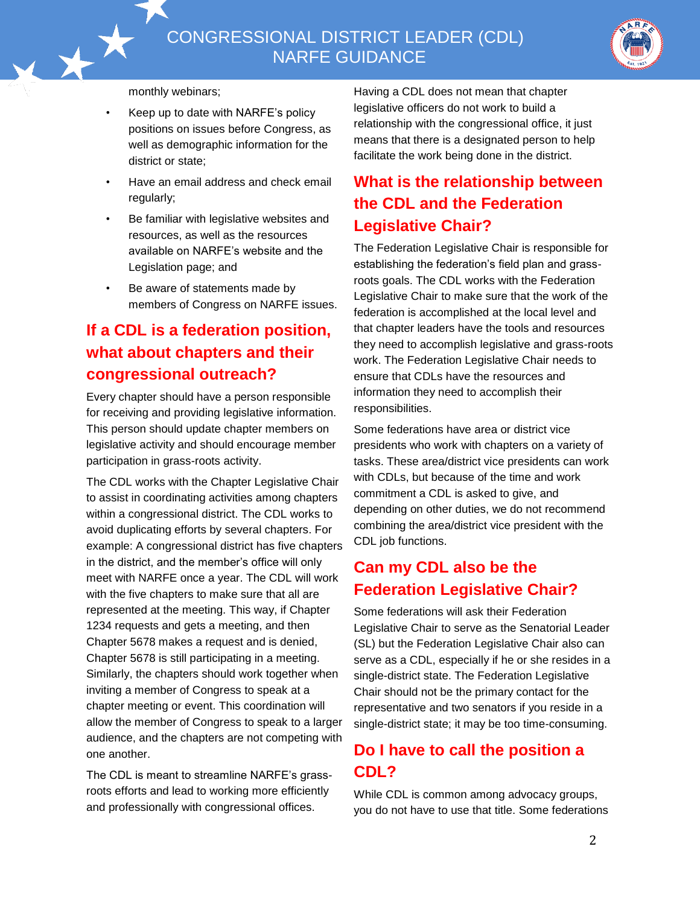



monthly webinars;

- Keep up to date with NARFE's policy positions on issues before Congress, as well as demographic information for the district or state;
- Have an email address and check email regularly;
- Be familiar with legislative websites and resources, as well as the resources available on NARFE's website and the Legislation page; and
- Be aware of statements made by members of Congress on NARFE issues.

## **If a CDL is a federation position, what about chapters and their congressional outreach?**

Every chapter should have a person responsible for receiving and providing legislative information. This person should update chapter members on legislative activity and should encourage member participation in grass-roots activity.

The CDL works with the Chapter Legislative Chair to assist in coordinating activities among chapters within a congressional district. The CDL works to avoid duplicating efforts by several chapters. For example: A congressional district has five chapters in the district, and the member's office will only meet with NARFE once a year. The CDL will work with the five chapters to make sure that all are represented at the meeting. This way, if Chapter 1234 requests and gets a meeting, and then Chapter 5678 makes a request and is denied, Chapter 5678 is still participating in a meeting. Similarly, the chapters should work together when inviting a member of Congress to speak at a chapter meeting or event. This coordination will allow the member of Congress to speak to a larger audience, and the chapters are not competing with one another.

The CDL is meant to streamline NARFE's grassroots efforts and lead to working more efficiently and professionally with congressional offices.

Having a CDL does not mean that chapter legislative officers do not work to build a relationship with the congressional office, it just means that there is a designated person to help facilitate the work being done in the district.

## **What is the relationship between the CDL and the Federation Legislative Chair?**

The Federation Legislative Chair is responsible for establishing the federation's field plan and grassroots goals. The CDL works with the Federation Legislative Chair to make sure that the work of the federation is accomplished at the local level and that chapter leaders have the tools and resources they need to accomplish legislative and grass-roots work. The Federation Legislative Chair needs to ensure that CDLs have the resources and information they need to accomplish their responsibilities.

Some federations have area or district vice presidents who work with chapters on a variety of tasks. These area/district vice presidents can work with CDLs, but because of the time and work commitment a CDL is asked to give, and depending on other duties, we do not recommend combining the area/district vice president with the CDL job functions.

#### **Can my CDL also be the Federation Legislative Chair?**

Some federations will ask their Federation Legislative Chair to serve as the Senatorial Leader (SL) but the Federation Legislative Chair also can serve as a CDL, especially if he or she resides in a single-district state. The Federation Legislative Chair should not be the primary contact for the representative and two senators if you reside in a single-district state; it may be too time-consuming.

## **Do I have to call the position a CDL?**

While CDL is common among advocacy groups, you do not have to use that title. Some federations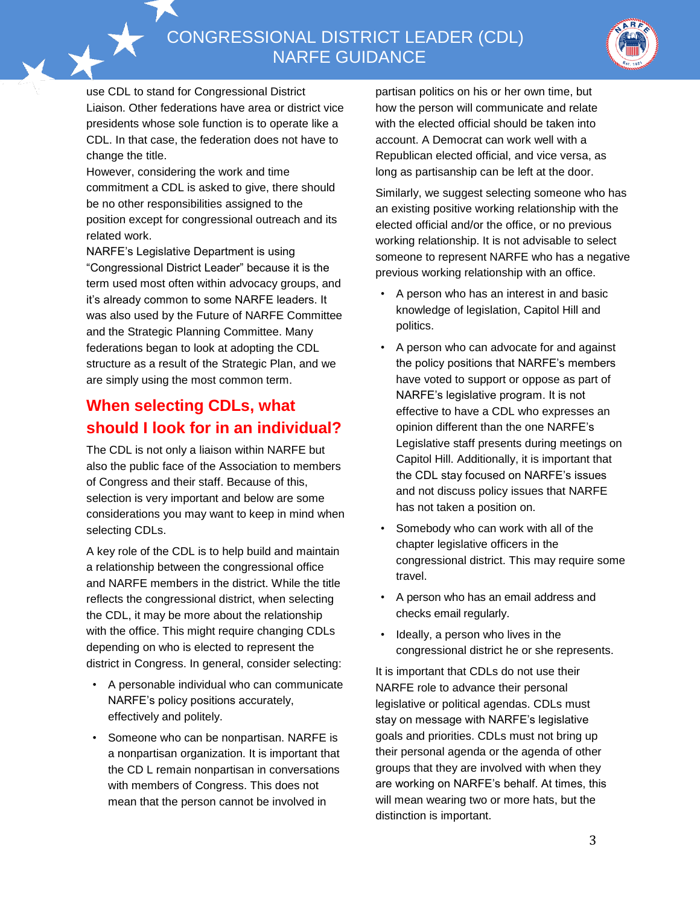CONGRESSIONAL DISTRICT LEADER (CDL) NARFE GUIDANCE



use CDL to stand for Congressional District Liaison. Other federations have area or district vice presidents whose sole function is to operate like a CDL. In that case, the federation does not have to change the title.

However, considering the work and time commitment a CDL is asked to give, there should be no other responsibilities assigned to the position except for congressional outreach and its related work.

NARFE's Legislative Department is using "Congressional District Leader" because it is the term used most often within advocacy groups, and it's already common to some NARFE leaders. It was also used by the Future of NARFE Committee and the Strategic Planning Committee. Many federations began to look at adopting the CDL structure as a result of the Strategic Plan, and we are simply using the most common term.

### **When selecting CDLs, what should I look for in an individual?**

The CDL is not only a liaison within NARFE but also the public face of the Association to members of Congress and their staff. Because of this, selection is very important and below are some considerations you may want to keep in mind when selecting CDLs.

A key role of the CDL is to help build and maintain a relationship between the congressional office and NARFE members in the district. While the title reflects the congressional district, when selecting the CDL, it may be more about the relationship with the office. This might require changing CDLs depending on who is elected to represent the district in Congress. In general, consider selecting:

- A personable individual who can communicate NARFE's policy positions accurately, effectively and politely.
- Someone who can be nonpartisan. NARFE is a nonpartisan organization. It is important that the CD L remain nonpartisan in conversations with members of Congress. This does not mean that the person cannot be involved in

partisan politics on his or her own time, but how the person will communicate and relate with the elected official should be taken into account. A Democrat can work well with a Republican elected official, and vice versa, as long as partisanship can be left at the door.

Similarly, we suggest selecting someone who has an existing positive working relationship with the elected official and/or the office, or no previous working relationship. It is not advisable to select someone to represent NARFE who has a negative previous working relationship with an office.

- A person who has an interest in and basic knowledge of legislation, Capitol Hill and politics.
- A person who can advocate for and against the policy positions that NARFE's members have voted to support or oppose as part of NARFE's legislative program. It is not effective to have a CDL who expresses an opinion different than the one NARFE's Legislative staff presents during meetings on Capitol Hill. Additionally, it is important that the CDL stay focused on NARFE's issues and not discuss policy issues that NARFE has not taken a position on.
- Somebody who can work with all of the chapter legislative officers in the congressional district. This may require some travel.
- A person who has an email address and checks email regularly.
- Ideally, a person who lives in the congressional district he or she represents.

It is important that CDLs do not use their NARFE role to advance their personal legislative or political agendas. CDLs must stay on message with NARFE's legislative goals and priorities. CDLs must not bring up their personal agenda or the agenda of other groups that they are involved with when they are working on NARFE's behalf. At times, this will mean wearing two or more hats, but the distinction is important.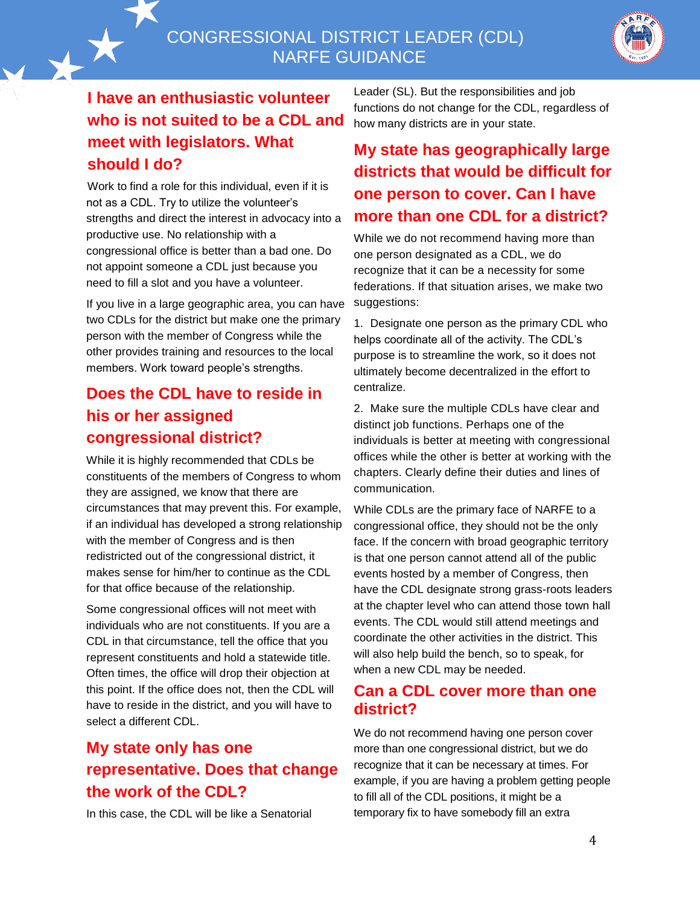CONGRESSIONAL DISTRICT LEADER (CDL) NARFE GUIDANCE



## **I have an enthusiastic volunteer who is not suited to be a CDL and meet with legislators. What should I do?**

Work to find a role for this individual, even if it is not as a CDL. Try to utilize the volunteer's strengths and direct the interest in advocacy into a productive use. No relationship with a congressional office is better than a bad one. Do not appoint someone a CDL just because you need to fill a slot and you have a volunteer.

If you live in a large geographic area, you can have two CDLs for the district but make one the primary person with the member of Congress while the other provides training and resources to the local members. Work toward people's strengths.

## **Does the CDL have to reside in his or her assigned congressional district?**

While it is highly recommended that CDLs be constituents of the members of Congress to whom they are assigned, we know that there are circumstances that may prevent this. For example, if an individual has developed a strong relationship with the member of Congress and is then redistricted out of the congressional district, it makes sense for him/her to continue as the CDL for that office because of the relationship.

Some congressional offices will not meet with individuals who are not constituents. If you are a CDL in that circumstance, tell the office that you represent constituents and hold a statewide title. Often times, the office will drop their objection at this point. If the office does not, then the CDL will have to reside in the district, and you will have to select a different CDL.

## **My state only has one representative. Does that change the work of the CDL?**

In this case, the CDL will be like a Senatorial

Leader (SL). But the responsibilities and job functions do not change for the CDL, regardless of how many districts are in your state.

# **My state has geographically large districts that would be difficult for one person to cover. Can I have more than one CDL for a district?**

While we do not recommend having more than one person designated as a CDL, we do recognize that it can be a necessity for some federations. If that situation arises, we make two suggestions:

1. Designate one person as the primary CDL who helps coordinate all of the activity. The CDL's purpose is to streamline the work, so it does not ultimately become decentralized in the effort to centralize.

2. Make sure the multiple CDLs have clear and distinct job functions. Perhaps one of the individuals is better at meeting with congressional offices while the other is better at working with the chapters. Clearly define their duties and lines of communication.

While CDLs are the primary face of NARFE to a congressional office, they should not be the only face. If the concern with broad geographic territory is that one person cannot attend all of the public events hosted by a member of Congress, then have the CDL designate strong grass-roots leaders at the chapter level who can attend those town hall events. The CDL would still attend meetings and coordinate the other activities in the district. This will also help build the bench, so to speak, for when a new CDL may be needed.

#### **Can a CDL cover more than one district?**

We do not recommend having one person cover more than one congressional district, but we do recognize that it can be necessary at times. For example, if you are having a problem getting people to fill all of the CDL positions, it might be a temporary fix to have somebody fill an extra